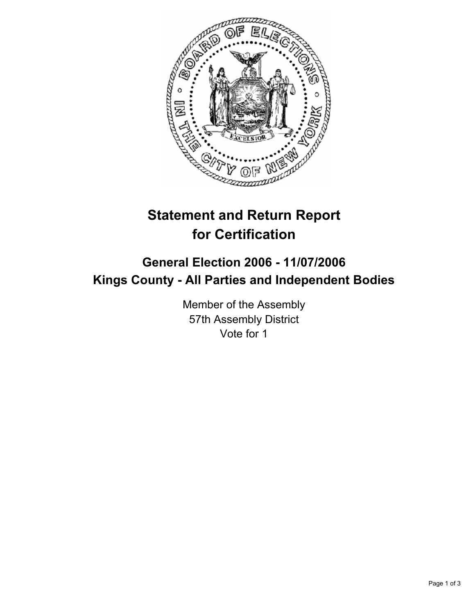

## **Statement and Return Report for Certification**

## **General Election 2006 - 11/07/2006 Kings County - All Parties and Independent Bodies**

Member of the Assembly 57th Assembly District Vote for 1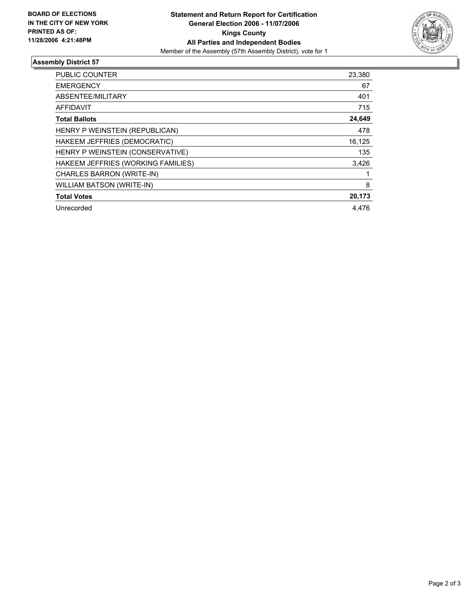

## **Assembly District 57**

| <b>PUBLIC COUNTER</b>              | 23,380 |
|------------------------------------|--------|
| <b>EMERGENCY</b>                   | 67     |
| ABSENTEE/MILITARY                  | 401    |
| <b>AFFIDAVIT</b>                   | 715    |
| <b>Total Ballots</b>               | 24,649 |
| HENRY P WEINSTEIN (REPUBLICAN)     | 478    |
| HAKEEM JEFFRIES (DEMOCRATIC)       | 16,125 |
| HENRY P WEINSTEIN (CONSERVATIVE)   | 135    |
| HAKEEM JEFFRIES (WORKING FAMILIES) | 3,426  |
| CHARLES BARRON (WRITE-IN)          |        |
| WILLIAM BATSON (WRITE-IN)          | 8      |
| <b>Total Votes</b>                 | 20,173 |
| Unrecorded                         | 4.476  |